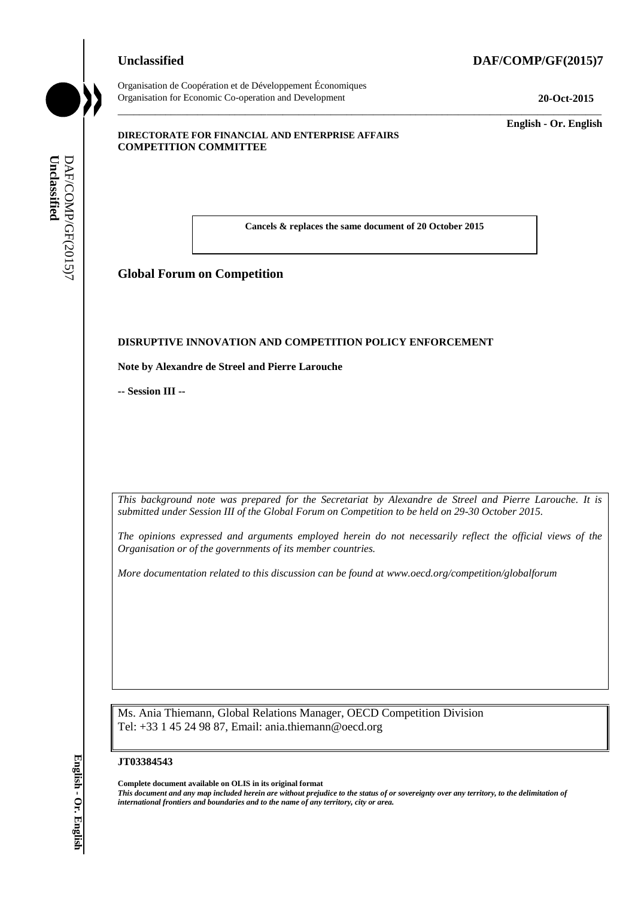# **Unclassified DAF/COMP/GF(2015)7**



Organisation de Coopération et de Développement Économiques Organisation for Economic Co-operation and Development **20-Oct-2015**

\_\_\_\_\_\_\_\_\_\_\_\_\_ **English - Or. English**

#### **DIRECTORATE FOR FINANCIAL AND ENTERPRISE AFFAIRS COMPETITION COMMITTEE**

**Cancels & replaces the same document of 20 October 2015**

\_\_\_\_\_\_\_\_\_\_\_\_\_\_\_\_\_\_\_\_\_\_\_\_\_\_\_\_\_\_\_\_\_\_\_\_\_\_\_\_\_\_\_\_\_\_\_\_\_\_\_\_\_\_\_\_\_\_\_\_\_\_\_\_\_\_\_\_\_\_\_\_\_\_\_\_\_\_\_\_\_\_\_\_\_\_\_\_\_\_\_

# **Global Forum on Competition**

#### **DISRUPTIVE INNOVATION AND COMPETITION POLICY ENFORCEMENT**

**Note by Alexandre de Streel and Pierre Larouche**

**-- Session III --**

*This background note was prepared for the Secretariat by Alexandre de Streel and Pierre Larouche. It is submitted under Session III of the Global Forum on Competition to be held on 29-30 October 2015.*

*The opinions expressed and arguments employed herein do not necessarily reflect the official views of the Organisation or of the governments of its member countries.*

*More documentation related to this discussion can be found at www.oecd.org/competition/globalforum*

Ms. Ania Thiemann, Global Relations Manager, OECD Competition Division Tel: +33 1 45 24 98 87, Email: ania.thiemann@oecd.org

#### **JT03384543**

**Complete document available on OLIS in its original format** *This document and any map included herein are without prejudice to the status of or sovereignty over any territory, to the delimitation of international frontiers and boundaries and to the name of any territory, city or area.* **Unclassified** DAF/COMP/GF(2015)7 **English - Or. English**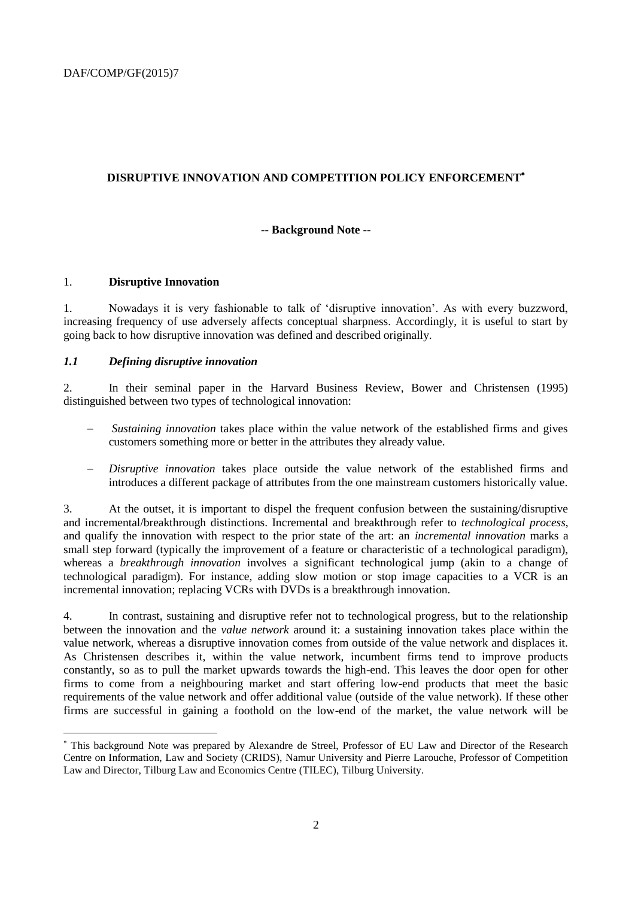# **DISRUPTIVE INNOVATION AND COMPETITION POLICY ENFORCEMENT**

#### **-- Background Note --**

#### 1. **Disruptive Innovation**

 $\overline{a}$ 

1. Nowadays it is very fashionable to talk of 'disruptive innovation'. As with every buzzword, increasing frequency of use adversely affects conceptual sharpness. Accordingly, it is useful to start by going back to how disruptive innovation was defined and described originally.

# *1.1 Defining disruptive innovation*

2. In their seminal paper in the Harvard Business Review, Bower and Christensen (1995) distinguished between two types of technological innovation:

- *Sustaining innovation* takes place within the value network of the established firms and gives customers something more or better in the attributes they already value.
- *Disruptive innovation* takes place outside the value network of the established firms and introduces a different package of attributes from the one mainstream customers historically value.

3. At the outset, it is important to dispel the frequent confusion between the sustaining/disruptive and incremental/breakthrough distinctions. Incremental and breakthrough refer to *technological process*, and qualify the innovation with respect to the prior state of the art: an *incremental innovation* marks a small step forward (typically the improvement of a feature or characteristic of a technological paradigm), whereas a *breakthrough innovation* involves a significant technological jump (akin to a change of technological paradigm). For instance, adding slow motion or stop image capacities to a VCR is an incremental innovation; replacing VCRs with DVDs is a breakthrough innovation.

4. In contrast, sustaining and disruptive refer not to technological progress, but to the relationship between the innovation and the *value network* around it: a sustaining innovation takes place within the value network, whereas a disruptive innovation comes from outside of the value network and displaces it. As Christensen describes it, within the value network, incumbent firms tend to improve products constantly, so as to pull the market upwards towards the high-end. This leaves the door open for other firms to come from a neighbouring market and start offering low-end products that meet the basic requirements of the value network and offer additional value (outside of the value network). If these other firms are successful in gaining a foothold on the low-end of the market, the value network will be

This background Note was prepared by Alexandre de Streel, Professor of EU Law and Director of the Research Centre on Information, Law and Society (CRIDS), Namur University and Pierre Larouche, Professor of Competition Law and Director, Tilburg Law and Economics Centre (TILEC), Tilburg University.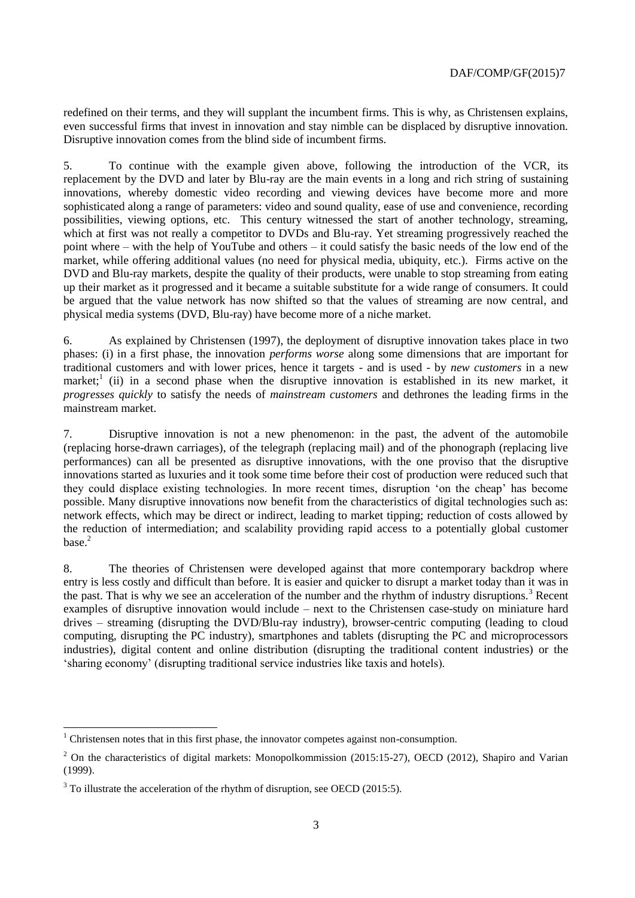redefined on their terms, and they will supplant the incumbent firms. This is why, as Christensen explains, even successful firms that invest in innovation and stay nimble can be displaced by disruptive innovation. Disruptive innovation comes from the blind side of incumbent firms.

5. To continue with the example given above, following the introduction of the VCR, its replacement by the DVD and later by Blu-ray are the main events in a long and rich string of sustaining innovations, whereby domestic video recording and viewing devices have become more and more sophisticated along a range of parameters: video and sound quality, ease of use and convenience, recording possibilities, viewing options, etc. This century witnessed the start of another technology, streaming, which at first was not really a competitor to DVDs and Blu-ray. Yet streaming progressively reached the point where – with the help of YouTube and others – it could satisfy the basic needs of the low end of the market, while offering additional values (no need for physical media, ubiquity, etc.). Firms active on the DVD and Blu-ray markets, despite the quality of their products, were unable to stop streaming from eating up their market as it progressed and it became a suitable substitute for a wide range of consumers. It could be argued that the value network has now shifted so that the values of streaming are now central, and physical media systems (DVD, Blu-ray) have become more of a niche market.

6. As explained by Christensen (1997), the deployment of disruptive innovation takes place in two phases: (i) in a first phase, the innovation *performs worse* along some dimensions that are important for traditional customers and with lower prices, hence it targets - and is used - by *new customers* in a new market;<sup>1</sup> (ii) in a second phase when the disruptive innovation is established in its new market, it *progresses quickly* to satisfy the needs of *mainstream customers* and dethrones the leading firms in the mainstream market.

7. Disruptive innovation is not a new phenomenon: in the past, the advent of the automobile (replacing horse-drawn carriages), of the telegraph (replacing mail) and of the phonograph (replacing live performances) can all be presented as disruptive innovations, with the one proviso that the disruptive innovations started as luxuries and it took some time before their cost of production were reduced such that they could displace existing technologies. In more recent times, disruption 'on the cheap' has become possible. Many disruptive innovations now benefit from the characteristics of digital technologies such as: network effects, which may be direct or indirect, leading to market tipping; reduction of costs allowed by the reduction of intermediation; and scalability providing rapid access to a potentially global customer base.<sup>2</sup>

8. The theories of Christensen were developed against that more contemporary backdrop where entry is less costly and difficult than before. It is easier and quicker to disrupt a market today than it was in the past. That is why we see an acceleration of the number and the rhythm of industry disruptions.<sup>3</sup> Recent examples of disruptive innovation would include – next to the Christensen case-study on miniature hard drives – streaming (disrupting the DVD/Blu-ray industry), browser-centric computing (leading to cloud computing, disrupting the PC industry), smartphones and tablets (disrupting the PC and microprocessors industries), digital content and online distribution (disrupting the traditional content industries) or the 'sharing economy' (disrupting traditional service industries like taxis and hotels).

 $\overline{a}$ 

 $1$  Christensen notes that in this first phase, the innovator competes against non-consumption.

 $2$  On the characteristics of digital markets: Monopolkommission (2015:15-27), OECD (2012), Shapiro and Varian (1999).

 $3$  To illustrate the acceleration of the rhythm of disruption, see OECD (2015:5).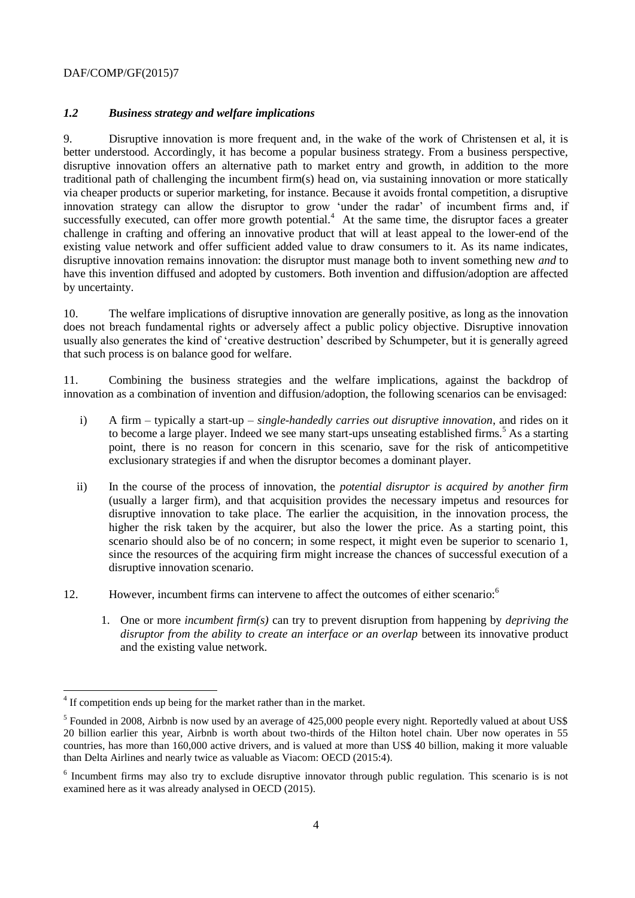# *1.2 Business strategy and welfare implications*

9. Disruptive innovation is more frequent and, in the wake of the work of Christensen et al, it is better understood. Accordingly, it has become a popular business strategy. From a business perspective, disruptive innovation offers an alternative path to market entry and growth, in addition to the more traditional path of challenging the incumbent firm(s) head on, via sustaining innovation or more statically via cheaper products or superior marketing, for instance. Because it avoids frontal competition, a disruptive innovation strategy can allow the disruptor to grow 'under the radar' of incumbent firms and, if successfully executed, can offer more growth potential.<sup>4</sup> At the same time, the disruptor faces a greater challenge in crafting and offering an innovative product that will at least appeal to the lower-end of the existing value network and offer sufficient added value to draw consumers to it. As its name indicates, disruptive innovation remains innovation: the disruptor must manage both to invent something new *and* to have this invention diffused and adopted by customers. Both invention and diffusion/adoption are affected by uncertainty.

10. The welfare implications of disruptive innovation are generally positive, as long as the innovation does not breach fundamental rights or adversely affect a public policy objective. Disruptive innovation usually also generates the kind of 'creative destruction' described by Schumpeter, but it is generally agreed that such process is on balance good for welfare.

11. Combining the business strategies and the welfare implications, against the backdrop of innovation as a combination of invention and diffusion/adoption, the following scenarios can be envisaged:

- i) A firm typically a start-up *single-handedly carries out disruptive innovation*, and rides on it to become a large player. Indeed we see many start-ups unseating established firms.<sup>5</sup> As a starting point, there is no reason for concern in this scenario, save for the risk of anticompetitive exclusionary strategies if and when the disruptor becomes a dominant player.
- ii) In the course of the process of innovation, the *potential disruptor is acquired by another firm* (usually a larger firm), and that acquisition provides the necessary impetus and resources for disruptive innovation to take place. The earlier the acquisition, in the innovation process, the higher the risk taken by the acquirer, but also the lower the price. As a starting point, this scenario should also be of no concern; in some respect, it might even be superior to scenario 1, since the resources of the acquiring firm might increase the chances of successful execution of a disruptive innovation scenario.
- 12. However, incumbent firms can intervene to affect the outcomes of either scenario:<sup>6</sup>
	- 1. One or more *incumbent firm(s)* can try to prevent disruption from happening by *depriving the disruptor from the ability to create an interface or an overlap* between its innovative product and the existing value network.

 $\overline{a}$ 

<sup>&</sup>lt;sup>4</sup> If competition ends up being for the market rather than in the market.

 $<sup>5</sup>$  Founded in 2008, Airbnb is now used by an average of 425,000 people every night. Reportedly valued at about US\$</sup> 20 billion earlier this year, Airbnb is worth about two-thirds of the Hilton hotel chain. Uber now operates in 55 countries, has more than 160,000 active drivers, and is valued at more than US\$ 40 billion, making it more valuable than Delta Airlines and nearly twice as valuable as Viacom: OECD (2015:4).

<sup>&</sup>lt;sup>6</sup> Incumbent firms may also try to exclude disruptive innovator through public regulation. This scenario is is not examined here as it was already analysed in OECD (2015).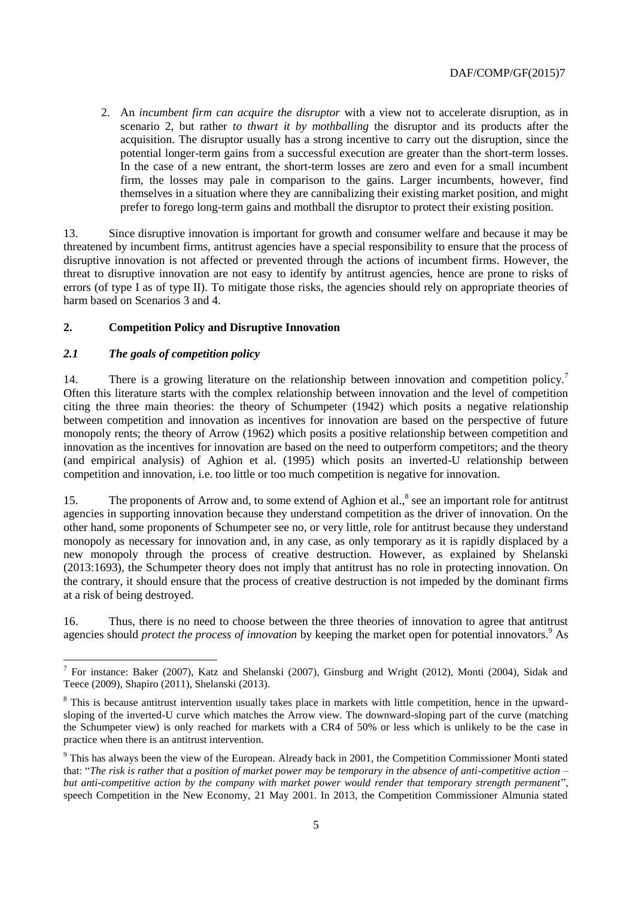2. An *incumbent firm can acquire the disruptor* with a view not to accelerate disruption, as in scenario 2, but rather *to thwart it by mothballing* the disruptor and its products after the acquisition. The disruptor usually has a strong incentive to carry out the disruption, since the potential longer-term gains from a successful execution are greater than the short-term losses. In the case of a new entrant, the short-term losses are zero and even for a small incumbent firm, the losses may pale in comparison to the gains. Larger incumbents, however, find themselves in a situation where they are cannibalizing their existing market position, and might prefer to forego long-term gains and mothball the disruptor to protect their existing position.

13. Since disruptive innovation is important for growth and consumer welfare and because it may be threatened by incumbent firms, antitrust agencies have a special responsibility to ensure that the process of disruptive innovation is not affected or prevented through the actions of incumbent firms. However, the threat to disruptive innovation are not easy to identify by antitrust agencies, hence are prone to risks of errors (of type I as of type II). To mitigate those risks, the agencies should rely on appropriate theories of harm based on Scenarios 3 and 4.

# **2. Competition Policy and Disruptive Innovation**

# *2.1 The goals of competition policy*

14. There is a growing literature on the relationship between innovation and competition policy.<sup>7</sup> Often this literature starts with the complex relationship between innovation and the level of competition citing the three main theories: the theory of Schumpeter (1942) which posits a negative relationship between competition and innovation as incentives for innovation are based on the perspective of future monopoly rents; the theory of Arrow (1962) which posits a positive relationship between competition and innovation as the incentives for innovation are based on the need to outperform competitors; and the theory (and empirical analysis) of Aghion et al. (1995) which posits an inverted-U relationship between competition and innovation, i.e. too little or too much competition is negative for innovation.

15. The proponents of Arrow and, to some extend of Aghion et al.,<sup>8</sup> see an important role for antitrust agencies in supporting innovation because they understand competition as the driver of innovation. On the other hand, some proponents of Schumpeter see no, or very little, role for antitrust because they understand monopoly as necessary for innovation and, in any case, as only temporary as it is rapidly displaced by a new monopoly through the process of creative destruction. However, as explained by Shelanski (2013:1693), the Schumpeter theory does not imply that antitrust has no role in protecting innovation. On the contrary, it should ensure that the process of creative destruction is not impeded by the dominant firms at a risk of being destroyed.

16. Thus, there is no need to choose between the three theories of innovation to agree that antitrust agencies should *protect the process of innovation* by keeping the market open for potential innovators.<sup>9</sup> As

<sup>7</sup> For instance: Baker (2007), Katz and Shelanski (2007), Ginsburg and Wright (2012), Monti (2004), Sidak and Teece (2009), Shapiro (2011), Shelanski (2013).

<sup>&</sup>lt;sup>8</sup> This is because antitrust intervention usually takes place in markets with little competition, hence in the upwardsloping of the inverted-U curve which matches the Arrow view. The downward-sloping part of the curve (matching the Schumpeter view) is only reached for markets with a CR4 of 50% or less which is unlikely to be the case in practice when there is an antitrust intervention.

<sup>&</sup>lt;sup>9</sup> This has always been the view of the European. Already back in 2001, the Competition Commissioner Monti stated that: "*The risk is rather that a position of market power may be temporary in the absence of anti-competitive action – but anti-competitive action by the company with market power would render that temporary strength permanent*", speech Competition in the New Economy, 21 May 2001. In 2013, the Competition Commissioner Almunia stated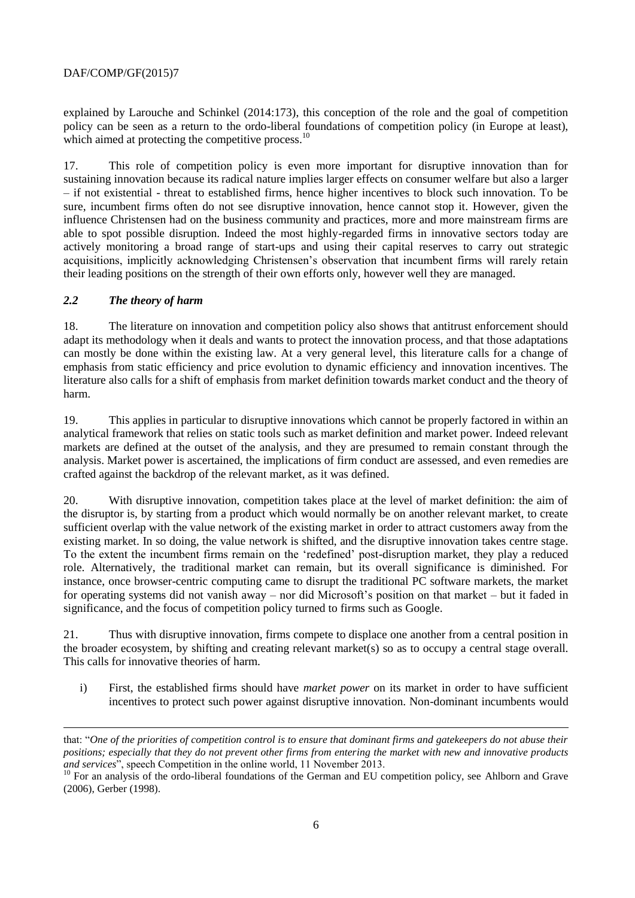explained by Larouche and Schinkel (2014:173), this conception of the role and the goal of competition policy can be seen as a return to the ordo-liberal foundations of competition policy (in Europe at least), which aimed at protecting the competitive process.<sup>10</sup>

17. This role of competition policy is even more important for disruptive innovation than for sustaining innovation because its radical nature implies larger effects on consumer welfare but also a larger – if not existential - threat to established firms, hence higher incentives to block such innovation. To be sure, incumbent firms often do not see disruptive innovation, hence cannot stop it. However, given the influence Christensen had on the business community and practices, more and more mainstream firms are able to spot possible disruption. Indeed the most highly-regarded firms in innovative sectors today are actively monitoring a broad range of start-ups and using their capital reserves to carry out strategic acquisitions, implicitly acknowledging Christensen's observation that incumbent firms will rarely retain their leading positions on the strength of their own efforts only, however well they are managed.

#### *2.2 The theory of harm*

 $\overline{a}$ 

18. The literature on innovation and competition policy also shows that antitrust enforcement should adapt its methodology when it deals and wants to protect the innovation process, and that those adaptations can mostly be done within the existing law. At a very general level, this literature calls for a change of emphasis from static efficiency and price evolution to dynamic efficiency and innovation incentives. The literature also calls for a shift of emphasis from market definition towards market conduct and the theory of harm.

19. This applies in particular to disruptive innovations which cannot be properly factored in within an analytical framework that relies on static tools such as market definition and market power. Indeed relevant markets are defined at the outset of the analysis, and they are presumed to remain constant through the analysis. Market power is ascertained, the implications of firm conduct are assessed, and even remedies are crafted against the backdrop of the relevant market, as it was defined.

20. With disruptive innovation, competition takes place at the level of market definition: the aim of the disruptor is, by starting from a product which would normally be on another relevant market, to create sufficient overlap with the value network of the existing market in order to attract customers away from the existing market. In so doing, the value network is shifted, and the disruptive innovation takes centre stage. To the extent the incumbent firms remain on the 'redefined' post-disruption market, they play a reduced role. Alternatively, the traditional market can remain, but its overall significance is diminished. For instance, once browser-centric computing came to disrupt the traditional PC software markets, the market for operating systems did not vanish away – nor did Microsoft's position on that market – but it faded in significance, and the focus of competition policy turned to firms such as Google.

21. Thus with disruptive innovation, firms compete to displace one another from a central position in the broader ecosystem, by shifting and creating relevant market(s) so as to occupy a central stage overall. This calls for innovative theories of harm.

i) First, the established firms should have *market power* on its market in order to have sufficient incentives to protect such power against disruptive innovation. Non-dominant incumbents would

that: "*One of the priorities of competition control is to ensure that dominant firms and gatekeepers do not abuse their positions; especially that they do not prevent other firms from entering the market with new and innovative products and services*", speech Competition in the online world, 11 November 2013.

<sup>&</sup>lt;sup>10</sup> For an analysis of the ordo-liberal foundations of the German and EU competition policy, see Ahlborn and Grave (2006), Gerber (1998).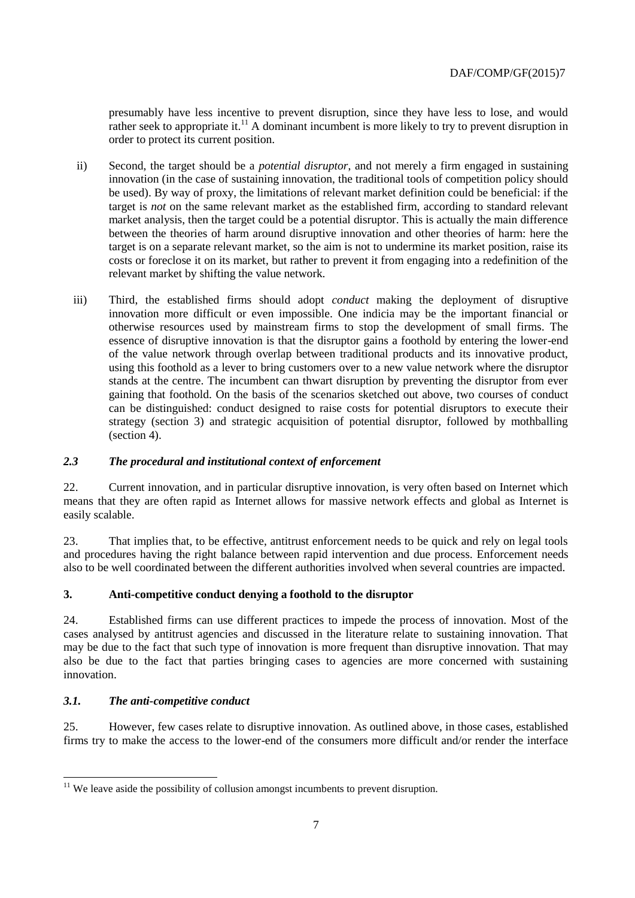presumably have less incentive to prevent disruption, since they have less to lose, and would rather seek to appropriate it.<sup>11</sup> A dominant incumbent is more likely to try to prevent disruption in order to protect its current position.

- ii) Second, the target should be a *potential disruptor*, and not merely a firm engaged in sustaining innovation (in the case of sustaining innovation, the traditional tools of competition policy should be used). By way of proxy, the limitations of relevant market definition could be beneficial: if the target is *not* on the same relevant market as the established firm, according to standard relevant market analysis, then the target could be a potential disruptor. This is actually the main difference between the theories of harm around disruptive innovation and other theories of harm: here the target is on a separate relevant market, so the aim is not to undermine its market position, raise its costs or foreclose it on its market, but rather to prevent it from engaging into a redefinition of the relevant market by shifting the value network.
- iii) Third, the established firms should adopt *conduct* making the deployment of disruptive innovation more difficult or even impossible. One indicia may be the important financial or otherwise resources used by mainstream firms to stop the development of small firms. The essence of disruptive innovation is that the disruptor gains a foothold by entering the lower-end of the value network through overlap between traditional products and its innovative product, using this foothold as a lever to bring customers over to a new value network where the disruptor stands at the centre. The incumbent can thwart disruption by preventing the disruptor from ever gaining that foothold. On the basis of the scenarios sketched out above, two courses of conduct can be distinguished: conduct designed to raise costs for potential disruptors to execute their strategy (section 3) and strategic acquisition of potential disruptor, followed by mothballing (section 4).

# *2.3 The procedural and institutional context of enforcement*

22. Current innovation, and in particular disruptive innovation, is very often based on Internet which means that they are often rapid as Internet allows for massive network effects and global as Internet is easily scalable.

23. That implies that, to be effective, antitrust enforcement needs to be quick and rely on legal tools and procedures having the right balance between rapid intervention and due process. Enforcement needs also to be well coordinated between the different authorities involved when several countries are impacted.

# **3. Anti-competitive conduct denying a foothold to the disruptor**

24. Established firms can use different practices to impede the process of innovation. Most of the cases analysed by antitrust agencies and discussed in the literature relate to sustaining innovation. That may be due to the fact that such type of innovation is more frequent than disruptive innovation. That may also be due to the fact that parties bringing cases to agencies are more concerned with sustaining innovation.

# *3.1. The anti-competitive conduct*

 $\overline{a}$ 

25. However, few cases relate to disruptive innovation. As outlined above, in those cases, established firms try to make the access to the lower-end of the consumers more difficult and/or render the interface

 $11$  We leave aside the possibility of collusion amongst incumbents to prevent disruption.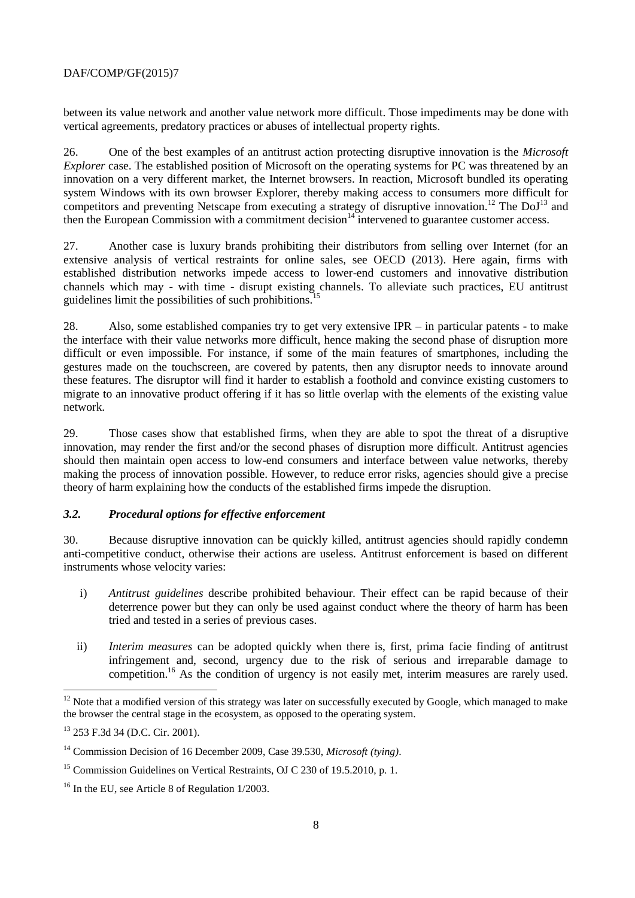between its value network and another value network more difficult. Those impediments may be done with vertical agreements, predatory practices or abuses of intellectual property rights.

26. One of the best examples of an antitrust action protecting disruptive innovation is the *Microsoft Explorer* case. The established position of Microsoft on the operating systems for PC was threatened by an innovation on a very different market, the Internet browsers. In reaction, Microsoft bundled its operating system Windows with its own browser Explorer, thereby making access to consumers more difficult for competitors and preventing Netscape from executing a strategy of disruptive innovation.<sup>12</sup> The DoJ<sup>13</sup> and then the European Commission with a commitment decision  $14$  intervened to guarantee customer access.

27. Another case is luxury brands prohibiting their distributors from selling over Internet (for an extensive analysis of vertical restraints for online sales, see OECD (2013). Here again, firms with established distribution networks impede access to lower-end customers and innovative distribution channels which may - with time - disrupt existing channels. To alleviate such practices, EU antitrust guidelines limit the possibilities of such prohibitions.<sup>1</sup>

28. Also, some established companies try to get very extensive IPR – in particular patents - to make the interface with their value networks more difficult, hence making the second phase of disruption more difficult or even impossible. For instance, if some of the main features of smartphones, including the gestures made on the touchscreen, are covered by patents, then any disruptor needs to innovate around these features. The disruptor will find it harder to establish a foothold and convince existing customers to migrate to an innovative product offering if it has so little overlap with the elements of the existing value network.

29. Those cases show that established firms, when they are able to spot the threat of a disruptive innovation, may render the first and/or the second phases of disruption more difficult. Antitrust agencies should then maintain open access to low-end consumers and interface between value networks, thereby making the process of innovation possible. However, to reduce error risks, agencies should give a precise theory of harm explaining how the conducts of the established firms impede the disruption.

#### *3.2. Procedural options for effective enforcement*

30. Because disruptive innovation can be quickly killed, antitrust agencies should rapidly condemn anti-competitive conduct, otherwise their actions are useless. Antitrust enforcement is based on different instruments whose velocity varies:

- i) *Antitrust guidelines* describe prohibited behaviour. Their effect can be rapid because of their deterrence power but they can only be used against conduct where the theory of harm has been tried and tested in a series of previous cases.
- ii) *Interim measures* can be adopted quickly when there is, first, prima facie finding of antitrust infringement and, second, urgency due to the risk of serious and irreparable damage to competition.<sup>16</sup> As the condition of urgency is not easily met, interim measures are rarely used.

 $12$  Note that a modified version of this strategy was later on successfully executed by Google, which managed to make the browser the central stage in the ecosystem, as opposed to the operating system.

<sup>13</sup> 253 F.3d 34 (D.C. Cir. 2001).

<sup>14</sup> Commission Decision of 16 December 2009, Case 39.530, *Microsoft (tying)*.

<sup>&</sup>lt;sup>15</sup> Commission Guidelines on Vertical Restraints, OJ C 230 of 19.5.2010, p. 1.

 $16$  In the EU, see Article 8 of Regulation 1/2003.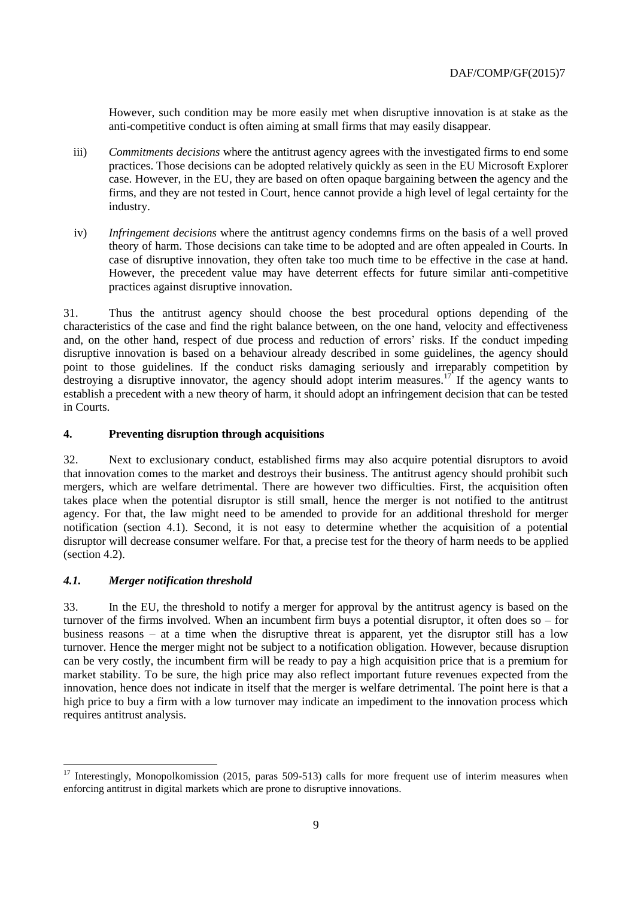However, such condition may be more easily met when disruptive innovation is at stake as the anti-competitive conduct is often aiming at small firms that may easily disappear.

- iii) *Commitments decisions* where the antitrust agency agrees with the investigated firms to end some practices. Those decisions can be adopted relatively quickly as seen in the EU Microsoft Explorer case. However, in the EU, they are based on often opaque bargaining between the agency and the firms, and they are not tested in Court, hence cannot provide a high level of legal certainty for the industry.
- iv) *Infringement decisions* where the antitrust agency condemns firms on the basis of a well proved theory of harm. Those decisions can take time to be adopted and are often appealed in Courts. In case of disruptive innovation, they often take too much time to be effective in the case at hand. However, the precedent value may have deterrent effects for future similar anti-competitive practices against disruptive innovation.

31. Thus the antitrust agency should choose the best procedural options depending of the characteristics of the case and find the right balance between, on the one hand, velocity and effectiveness and, on the other hand, respect of due process and reduction of errors' risks. If the conduct impeding disruptive innovation is based on a behaviour already described in some guidelines, the agency should point to those guidelines. If the conduct risks damaging seriously and irreparably competition by destroving a disruptive innovator, the agency should adopt interim measures.<sup>17</sup> If the agency wants to establish a precedent with a new theory of harm, it should adopt an infringement decision that can be tested in Courts.

# **4. Preventing disruption through acquisitions**

32. Next to exclusionary conduct, established firms may also acquire potential disruptors to avoid that innovation comes to the market and destroys their business. The antitrust agency should prohibit such mergers, which are welfare detrimental. There are however two difficulties. First, the acquisition often takes place when the potential disruptor is still small, hence the merger is not notified to the antitrust agency. For that, the law might need to be amended to provide for an additional threshold for merger notification (section 4.1). Second, it is not easy to determine whether the acquisition of a potential disruptor will decrease consumer welfare. For that, a precise test for the theory of harm needs to be applied (section 4.2).

#### *4.1. Merger notification threshold*

33. In the EU, the threshold to notify a merger for approval by the antitrust agency is based on the turnover of the firms involved. When an incumbent firm buys a potential disruptor, it often does so – for business reasons – at a time when the disruptive threat is apparent, yet the disruptor still has a low turnover. Hence the merger might not be subject to a notification obligation. However, because disruption can be very costly, the incumbent firm will be ready to pay a high acquisition price that is a premium for market stability. To be sure, the high price may also reflect important future revenues expected from the innovation, hence does not indicate in itself that the merger is welfare detrimental. The point here is that a high price to buy a firm with a low turnover may indicate an impediment to the innovation process which requires antitrust analysis.

<sup>17</sup> Interestingly, Monopolkomission (2015, paras 509-513) calls for more frequent use of interim measures when enforcing antitrust in digital markets which are prone to disruptive innovations.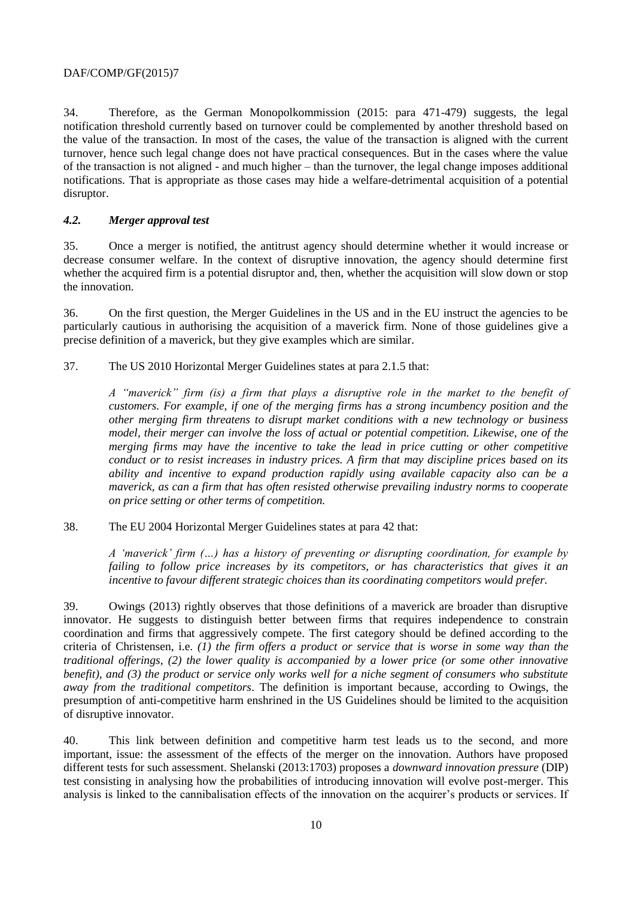34. Therefore, as the German Monopolkommission (2015: para 471-479) suggests, the legal notification threshold currently based on turnover could be complemented by another threshold based on the value of the transaction. In most of the cases, the value of the transaction is aligned with the current turnover, hence such legal change does not have practical consequences. But in the cases where the value of the transaction is not aligned - and much higher – than the turnover, the legal change imposes additional notifications. That is appropriate as those cases may hide a welfare-detrimental acquisition of a potential disruptor.

### *4.2. Merger approval test*

35. Once a merger is notified, the antitrust agency should determine whether it would increase or decrease consumer welfare. In the context of disruptive innovation, the agency should determine first whether the acquired firm is a potential disruptor and, then, whether the acquisition will slow down or stop the innovation.

36. On the first question, the Merger Guidelines in the US and in the EU instruct the agencies to be particularly cautious in authorising the acquisition of a maverick firm. None of those guidelines give a precise definition of a maverick, but they give examples which are similar.

# 37. The US 2010 Horizontal Merger Guidelines states at para 2.1.5 that:

*A "maverick" firm (is) a firm that plays a disruptive role in the market to the benefit of customers. For example, if one of the merging firms has a strong incumbency position and the other merging firm threatens to disrupt market conditions with a new technology or business model, their merger can involve the loss of actual or potential competition. Likewise, one of the merging firms may have the incentive to take the lead in price cutting or other competitive conduct or to resist increases in industry prices. A firm that may discipline prices based on its ability and incentive to expand production rapidly using available capacity also can be a maverick, as can a firm that has often resisted otherwise prevailing industry norms to cooperate on price setting or other terms of competition.*

38. The EU 2004 Horizontal Merger Guidelines states at para 42 that:

*A 'maverick' firm (…) has a history of preventing or disrupting coordination, for example by failing to follow price increases by its competitors, or has characteristics that gives it an incentive to favour different strategic choices than its coordinating competitors would prefer.*

39. Owings (2013) rightly observes that those definitions of a maverick are broader than disruptive innovator. He suggests to distinguish better between firms that requires independence to constrain coordination and firms that aggressively compete. The first category should be defined according to the criteria of Christensen, i.e. *(1) the firm offers a product or service that is worse in some way than the traditional offerings, (2) the lower quality is accompanied by a lower price (or some other innovative benefit), and (3) the product or service only works well for a niche segment of consumers who substitute away from the traditional competitors*. The definition is important because, according to Owings, the presumption of anti-competitive harm enshrined in the US Guidelines should be limited to the acquisition of disruptive innovator.

40. This link between definition and competitive harm test leads us to the second, and more important, issue: the assessment of the effects of the merger on the innovation. Authors have proposed different tests for such assessment. Shelanski (2013:1703) proposes a *downward innovation pressure* (DIP) test consisting in analysing how the probabilities of introducing innovation will evolve post-merger. This analysis is linked to the cannibalisation effects of the innovation on the acquirer's products or services. If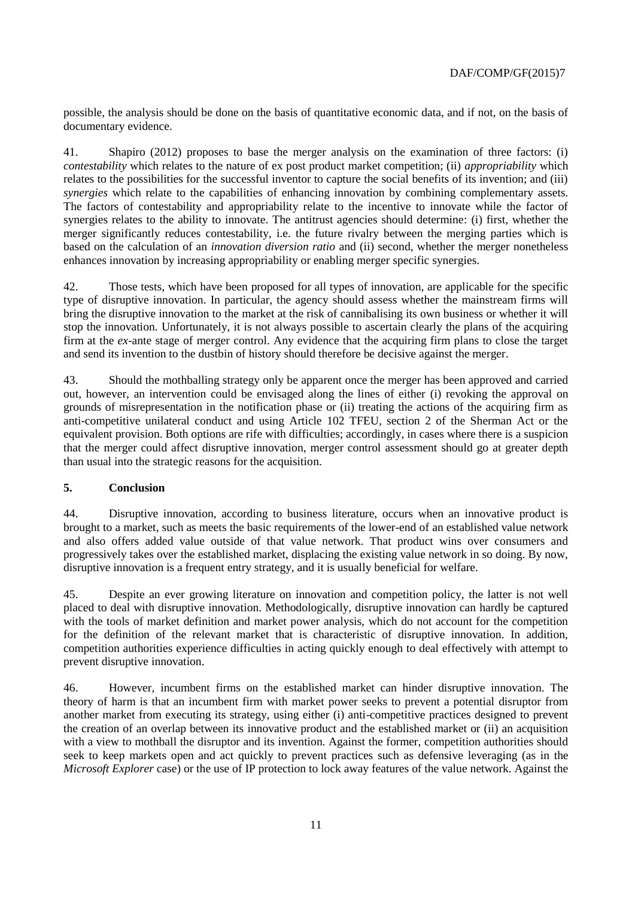possible, the analysis should be done on the basis of quantitative economic data, and if not, on the basis of documentary evidence.

41. Shapiro (2012) proposes to base the merger analysis on the examination of three factors: (i) *contestability* which relates to the nature of ex post product market competition; (ii) *appropriability* which relates to the possibilities for the successful inventor to capture the social benefits of its invention; and (iii) *synergies* which relate to the capabilities of enhancing innovation by combining complementary assets. The factors of contestability and appropriability relate to the incentive to innovate while the factor of synergies relates to the ability to innovate. The antitrust agencies should determine: (i) first, whether the merger significantly reduces contestability, i.e. the future rivalry between the merging parties which is based on the calculation of an *innovation diversion ratio* and (ii) second, whether the merger nonetheless enhances innovation by increasing appropriability or enabling merger specific synergies.

42. Those tests, which have been proposed for all types of innovation, are applicable for the specific type of disruptive innovation. In particular, the agency should assess whether the mainstream firms will bring the disruptive innovation to the market at the risk of cannibalising its own business or whether it will stop the innovation. Unfortunately, it is not always possible to ascertain clearly the plans of the acquiring firm at the *ex-*ante stage of merger control. Any evidence that the acquiring firm plans to close the target and send its invention to the dustbin of history should therefore be decisive against the merger.

43. Should the mothballing strategy only be apparent once the merger has been approved and carried out, however, an intervention could be envisaged along the lines of either (i) revoking the approval on grounds of misrepresentation in the notification phase or (ii) treating the actions of the acquiring firm as anti-competitive unilateral conduct and using Article 102 TFEU, section 2 of the Sherman Act or the equivalent provision. Both options are rife with difficulties; accordingly, in cases where there is a suspicion that the merger could affect disruptive innovation, merger control assessment should go at greater depth than usual into the strategic reasons for the acquisition.

#### **5. Conclusion**

44. Disruptive innovation, according to business literature, occurs when an innovative product is brought to a market, such as meets the basic requirements of the lower-end of an established value network and also offers added value outside of that value network. That product wins over consumers and progressively takes over the established market, displacing the existing value network in so doing. By now, disruptive innovation is a frequent entry strategy, and it is usually beneficial for welfare.

45. Despite an ever growing literature on innovation and competition policy, the latter is not well placed to deal with disruptive innovation. Methodologically, disruptive innovation can hardly be captured with the tools of market definition and market power analysis, which do not account for the competition for the definition of the relevant market that is characteristic of disruptive innovation. In addition, competition authorities experience difficulties in acting quickly enough to deal effectively with attempt to prevent disruptive innovation.

46. However, incumbent firms on the established market can hinder disruptive innovation. The theory of harm is that an incumbent firm with market power seeks to prevent a potential disruptor from another market from executing its strategy, using either (i) anti-competitive practices designed to prevent the creation of an overlap between its innovative product and the established market or (ii) an acquisition with a view to mothball the disruptor and its invention. Against the former, competition authorities should seek to keep markets open and act quickly to prevent practices such as defensive leveraging (as in the *Microsoft Explorer* case) or the use of IP protection to lock away features of the value network. Against the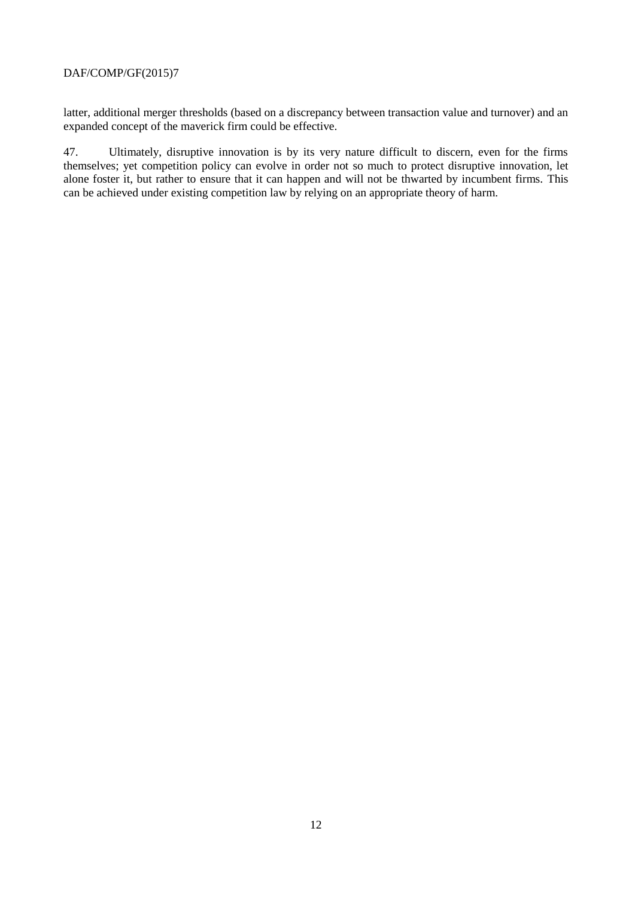latter, additional merger thresholds (based on a discrepancy between transaction value and turnover) and an expanded concept of the maverick firm could be effective.

47. Ultimately, disruptive innovation is by its very nature difficult to discern, even for the firms themselves; yet competition policy can evolve in order not so much to protect disruptive innovation, let alone foster it, but rather to ensure that it can happen and will not be thwarted by incumbent firms. This can be achieved under existing competition law by relying on an appropriate theory of harm.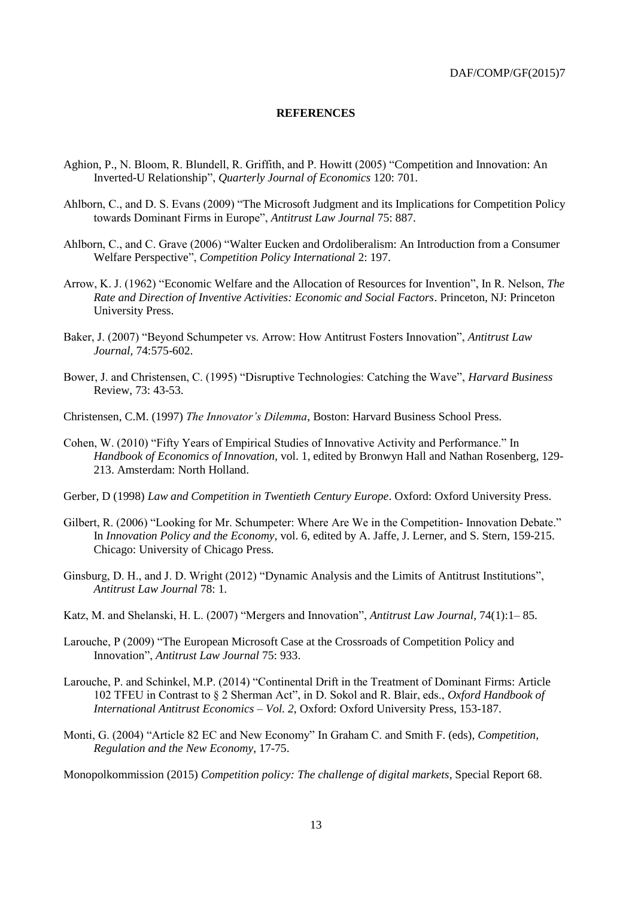#### **REFERENCES**

- Aghion, P., N. Bloom, R. Blundell, R. Griffith, and P. Howitt (2005) "Competition and Innovation: An Inverted-U Relationship", *Quarterly Journal of Economics* 120: 701.
- Ahlborn, C., and D. S. Evans (2009) "The Microsoft Judgment and its Implications for Competition Policy towards Dominant Firms in Europe", *Antitrust Law Journal* 75: 887.
- Ahlborn, C., and C. Grave (2006) "Walter Eucken and Ordoliberalism: An Introduction from a Consumer Welfare Perspective", *Competition Policy International* 2: 197.
- Arrow, K. J. (1962) "Economic Welfare and the Allocation of Resources for Invention", In R. Nelson, *The Rate and Direction of Inventive Activities: Economic and Social Factors*. Princeton, NJ: Princeton University Press.
- Baker, J. (2007) "Beyond Schumpeter vs. Arrow: How Antitrust Fosters Innovation", *Antitrust Law Journal,* 74:575-602.
- Bower, J. and Christensen, C. (1995) "Disruptive Technologies: Catching the Wave", *Harvard Business*  Review, 73: 43-53.
- Christensen, C.M. (1997) *The Innovator's Dilemma*, Boston: Harvard Business School Press.
- Cohen, W. (2010) "Fifty Years of Empirical Studies of Innovative Activity and Performance." In *Handbook of Economics of Innovation,* vol. 1, edited by Bronwyn Hall and Nathan Rosenberg, 129- 213. Amsterdam: North Holland.
- Gerber, D (1998) *Law and Competition in Twentieth Century Europe*. Oxford: Oxford University Press.
- Gilbert, R. (2006) "Looking for Mr. Schumpeter: Where Are We in the Competition- Innovation Debate." In *Innovation Policy and the Economy,* vol. 6, edited by A. Jaffe, J. Lerner, and S. Stern, 159-215. Chicago: University of Chicago Press.
- Ginsburg, D. H., and J. D. Wright (2012) "Dynamic Analysis and the Limits of Antitrust Institutions", *Antitrust Law Journal* 78: 1.
- Katz, M. and Shelanski, H. L. (2007) "Mergers and Innovation", *Antitrust Law Journal,* 74(1):1– 85.
- Larouche, P (2009) "The European Microsoft Case at the Crossroads of Competition Policy and Innovation", *Antitrust Law Journal* 75: 933.
- Larouche, P. and Schinkel, M.P. (2014) "Continental Drift in the Treatment of Dominant Firms: Article 102 TFEU in Contrast to § 2 Sherman Act", in D. Sokol and R. Blair, eds., *Oxford Handbook of International Antitrust Economics – Vol. 2*, Oxford: Oxford University Press, 153-187.
- Monti, G. (2004) "Article 82 EC and New Economy" In Graham C. and Smith F. (eds), *Competition, Regulation and the New Economy*, 17-75.

Monopolkommission (2015) *Competition policy: The challenge of digital markets*, Special Report 68.